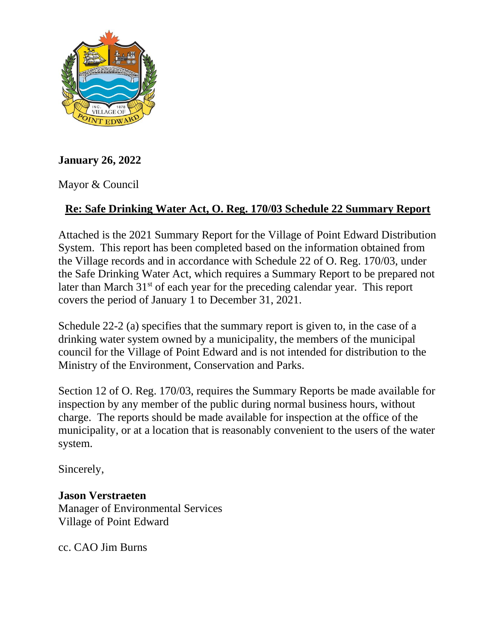

## **January 26, 2022**

Mayor & Council

## **Re: Safe Drinking Water Act, O. Reg. 170/03 Schedule 22 Summary Report**

Attached is the 2021 Summary Report for the Village of Point Edward Distribution System. This report has been completed based on the information obtained from the Village records and in accordance with Schedule 22 of O. Reg. 170/03, under the Safe Drinking Water Act, which requires a Summary Report to be prepared not later than March  $31<sup>st</sup>$  of each year for the preceding calendar year. This report covers the period of January 1 to December 31, 2021.

Schedule 22-2 (a) specifies that the summary report is given to, in the case of a drinking water system owned by a municipality, the members of the municipal council for the Village of Point Edward and is not intended for distribution to the Ministry of the Environment, Conservation and Parks.

Section 12 of O. Reg. 170/03, requires the Summary Reports be made available for inspection by any member of the public during normal business hours, without charge. The reports should be made available for inspection at the office of the municipality, or at a location that is reasonably convenient to the users of the water system.

Sincerely,

## **Jason Verstraeten**

Manager of Environmental Services Village of Point Edward

cc. CAO Jim Burns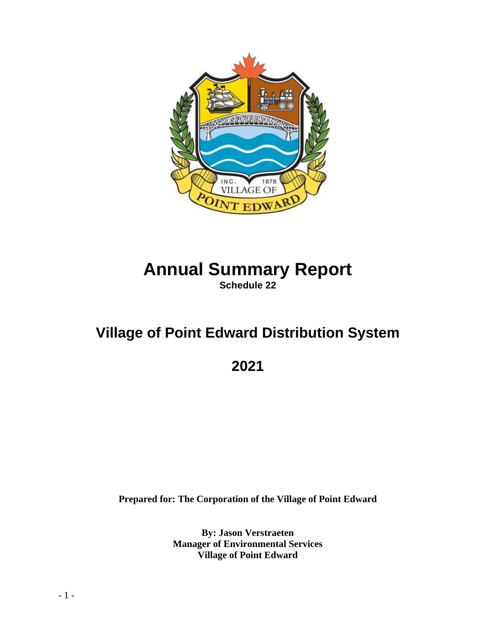

# **Annual Summary Report Schedule 22**

# **Village of Point Edward Distribution System**

**2021**

**Prepared for: The Corporation of the Village of Point Edward**

**By: Jason Verstraeten Manager of Environmental Services Village of Point Edward**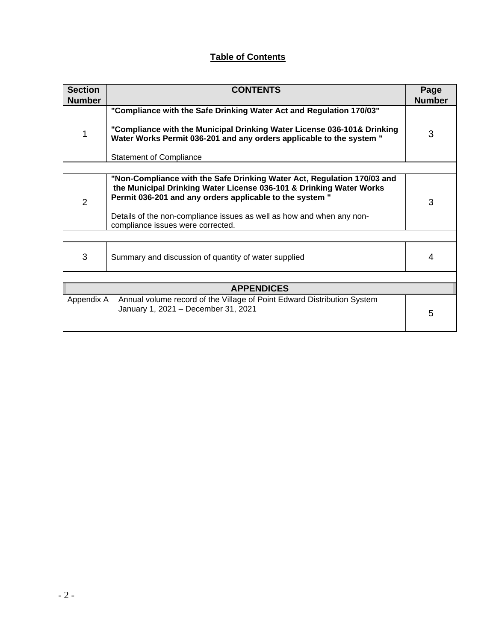### **Table of Contents**

| <b>Section</b><br><b>Number</b> | <b>CONTENTS</b>                                                                                                                                                                                                                                                                     |               |  |  |  |  |
|---------------------------------|-------------------------------------------------------------------------------------------------------------------------------------------------------------------------------------------------------------------------------------------------------------------------------------|---------------|--|--|--|--|
|                                 | "Compliance with the Safe Drinking Water Act and Regulation 170/03"                                                                                                                                                                                                                 | <b>Number</b> |  |  |  |  |
| 1                               | "Compliance with the Municipal Drinking Water License 036-101& Drinking<br>Water Works Permit 036-201 and any orders applicable to the system "                                                                                                                                     | 3             |  |  |  |  |
|                                 | <b>Statement of Compliance</b>                                                                                                                                                                                                                                                      |               |  |  |  |  |
|                                 |                                                                                                                                                                                                                                                                                     |               |  |  |  |  |
| $\overline{2}$                  | "Non-Compliance with the Safe Drinking Water Act, Regulation 170/03 and<br>the Municipal Drinking Water License 036-101 & Drinking Water Works<br>Permit 036-201 and any orders applicable to the system "<br>Details of the non-compliance issues as well as how and when any non- | 3             |  |  |  |  |
|                                 | compliance issues were corrected.                                                                                                                                                                                                                                                   |               |  |  |  |  |
|                                 |                                                                                                                                                                                                                                                                                     |               |  |  |  |  |
| 3                               | Summary and discussion of quantity of water supplied                                                                                                                                                                                                                                |               |  |  |  |  |
|                                 |                                                                                                                                                                                                                                                                                     |               |  |  |  |  |
| <b>APPENDICES</b>               |                                                                                                                                                                                                                                                                                     |               |  |  |  |  |
| Appendix A                      | Annual volume record of the Village of Point Edward Distribution System<br>January 1, 2021 - December 31, 2021                                                                                                                                                                      | 5             |  |  |  |  |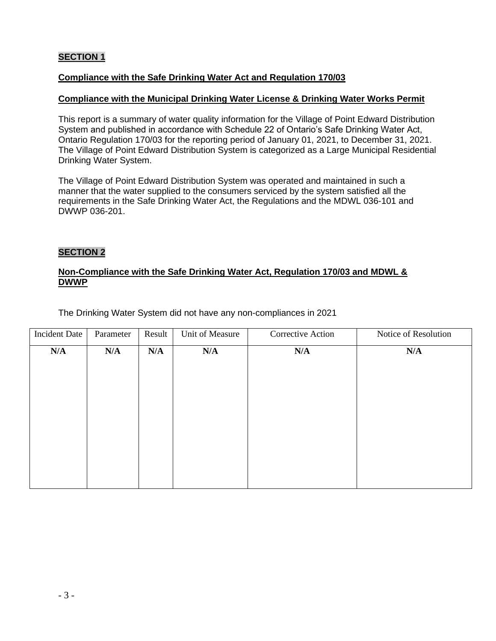#### **SECTION 1**

#### **Compliance with the Safe Drinking Water Act and Regulation 170/03**

#### **Compliance with the Municipal Drinking Water License & Drinking Water Works Permit**

This report is a summary of water quality information for the Village of Point Edward Distribution System and published in accordance with Schedule 22 of Ontario's Safe Drinking Water Act, Ontario Regulation 170/03 for the reporting period of January 01, 2021, to December 31, 2021. The Village of Point Edward Distribution System is categorized as a Large Municipal Residential Drinking Water System.

The Village of Point Edward Distribution System was operated and maintained in such a manner that the water supplied to the consumers serviced by the system satisfied all the requirements in the Safe Drinking Water Act, the Regulations and the MDWL 036-101 and DWWP 036-201.

#### **SECTION 2**

#### **Non-Compliance with the Safe Drinking Water Act, Regulation 170/03 and MDWL & DWWP**

The Drinking Water System did not have any non-compliances in 2021

| Incident Date | Parameter | Result | Unit of Measure | Corrective Action | Notice of Resolution |
|---------------|-----------|--------|-----------------|-------------------|----------------------|
| N/A           | N/A       | N/A    | N/A             | N/A               | N/A                  |
|               |           |        |                 |                   |                      |
|               |           |        |                 |                   |                      |
|               |           |        |                 |                   |                      |
|               |           |        |                 |                   |                      |
|               |           |        |                 |                   |                      |
|               |           |        |                 |                   |                      |
|               |           |        |                 |                   |                      |
|               |           |        |                 |                   |                      |
|               |           |        |                 |                   |                      |
|               |           |        |                 |                   |                      |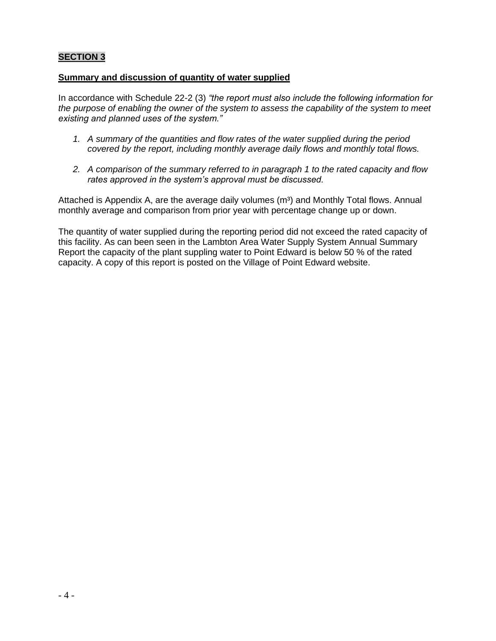#### **SECTION 3**

#### **Summary and discussion of quantity of water supplied**

In accordance with Schedule 22-2 (3) *"the report must also include the following information for the purpose of enabling the owner of the system to assess the capability of the system to meet existing and planned uses of the system."*

- *1. A summary of the quantities and flow rates of the water supplied during the period covered by the report, including monthly average daily flows and monthly total flows.*
- *2. A comparison of the summary referred to in paragraph 1 to the rated capacity and flow rates approved in the system's approval must be discussed.*

Attached is Appendix A, are the average daily volumes (m<sup>3</sup>) and Monthly Total flows. Annual monthly average and comparison from prior year with percentage change up or down.

The quantity of water supplied during the reporting period did not exceed the rated capacity of this facility. As can been seen in the Lambton Area Water Supply System Annual Summary Report the capacity of the plant suppling water to Point Edward is below 50 % of the rated capacity. A copy of this report is posted on the Village of Point Edward website.